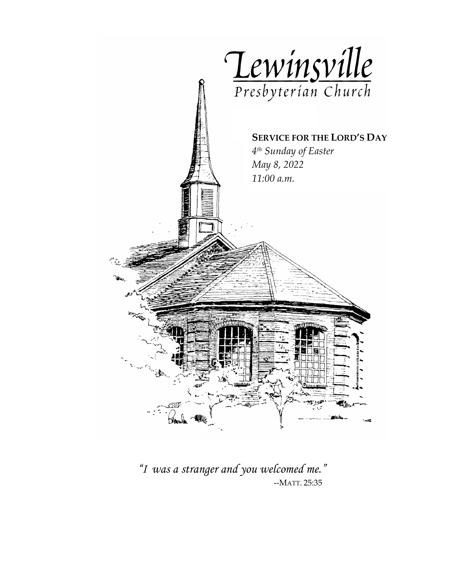

*"I was a stranger and you welcomed me."*--MATT. 25:35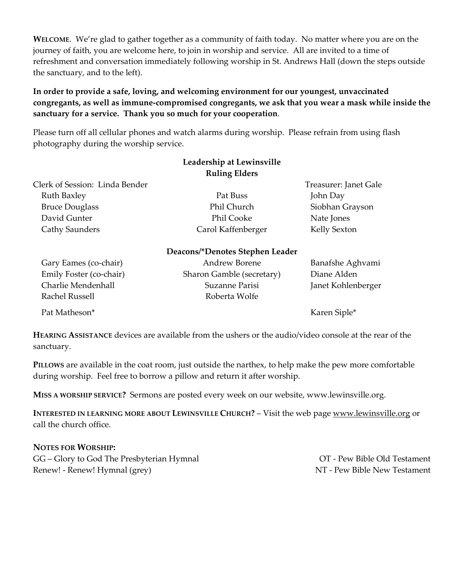**WELCOME**. We're glad to gather together as a community of faith today. No matter where you are on the journey of faith, you are welcome here, to join in worship and service. All are invited to a time of refreshment and conversation immediately following worship in St. Andrews Hall (down the steps outside the sanctuary, and to the left).

### **In order to provide a safe, loving, and welcoming environment for our youngest, unvaccinated congregants, as well as immune-compromised congregants, we ask that you wear a mask while inside the sanctuary for a service. Thank you so much for your cooperation**.

Please turn off all cellular phones and watch alarms during worship. Please refrain from using flash photography during the worship service.

|                                | Leadership at Lewinsville       |                       |
|--------------------------------|---------------------------------|-----------------------|
|                                | <b>Ruling Elders</b>            |                       |
| Clerk of Session: Linda Bender |                                 | Treasurer: Janet Gale |
| Ruth Baxley                    | Pat Buss                        | John Day              |
| <b>Bruce Douglass</b>          | Phil Church                     | Siobhan Grayson       |
| David Gunter                   | Phil Cooke                      | Nate Jones            |
| Cathy Saunders                 | Carol Kaffenberger              | Kelly Sexton          |
|                                | Deacons/*Denotes Stephen Leader |                       |
| Gary Eames (co-chair)          | <b>Andrew Borene</b>            | Banafshe Aghvami      |
| Emily Foster (co-chair)        | Sharon Gamble (secretary)       | Diane Alden           |
| Charlie Mendenhall             | Suzanne Parisi                  | Janet Kohlenberger    |
| Rachel Russell                 | Roberta Wolfe                   |                       |
| Pat Matheson*                  |                                 | Karen Siple*          |

**HEARING ASSISTANCE** devices are available from the ushers or the audio/video console at the rear of the sanctuary.

**PILLOWS** are available in the coat room, just outside the narthex, to help make the pew more comfortable during worship. Feel free to borrow a pillow and return it after worship.

**MISS A WORSHIP SERVICE?** Sermons are posted every week on our website, www.lewinsville.org.

**INTERESTED IN LEARNING MORE ABOUT LEWINSVILLE CHURCH?** – Visit the web page [www.lewinsville.org](http://www.lewinsville.org/) or call the church office.

#### **NOTES FOR WORSHIP:**

GG – Glory to God The Presbyterian Hymnal **OT** - Pew Bible Old Testament Renew! - Renew! Hymnal (grey)  $NT$ - Pew Bible New Testament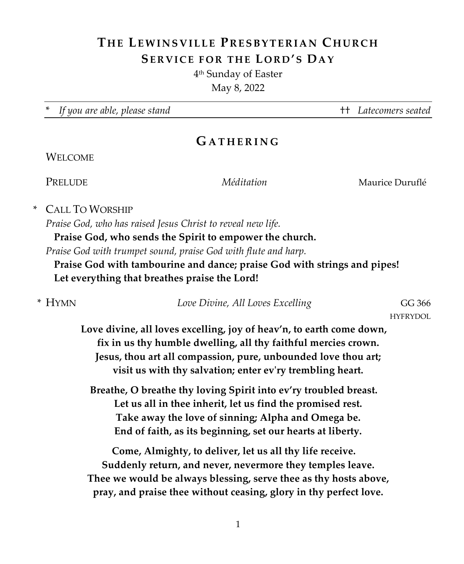# **THE LEWINSVILLE P RESBYTERIAN C HURCH SERVICE FOR THE LORD'S DAY**

4th Sunday of Easter

May 8, 2022

\* *If you are able, please stand* †† *Latecomers seated*

## **G ATHERIN G**

## **WELCOME**

PRELUDE *Méditation* Maurice Duruflé

\* CALL TO WORSHIP

*Praise God, who has raised Jesus Christ to reveal new life.* 

**Praise God, who sends the Spirit to empower the church.**

*Praise God with trumpet sound, praise God with flute and harp.* 

**Praise God with tambourine and dance; praise God with strings and pipes! Let everything that breathes praise the Lord!**

| * Hymn | Love Divine, All Loves Excelling | GG 366    |
|--------|----------------------------------|-----------|
|        |                                  | HYFRYDOL. |

**Love divine, all loves excelling, joy of heav'n, to earth come down, fix in us thy humble dwelling, all thy faithful mercies crown. Jesus, thou art all compassion, pure, unbounded love thou art; visit us with thy salvation; enter ev'ry trembling heart.**

**Breathe, O breathe thy loving Spirit into ev'ry troubled breast. Let us all in thee inherit, let us find the promised rest. Take away the love of sinning; Alpha and Omega be. End of faith, as its beginning, set our hearts at liberty.**

**Come, Almighty, to deliver, let us all thy life receive. Suddenly return, and never, nevermore they temples leave. Thee we would be always blessing, serve thee as thy hosts above, pray, and praise thee without ceasing, glory in thy perfect love.**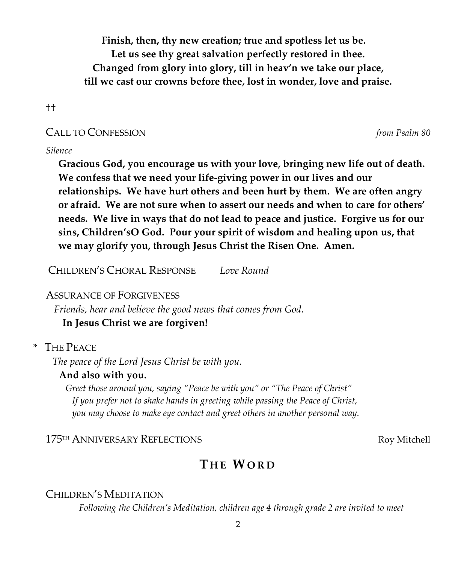**Finish, then, thy new creation; true and spotless let us be. Let us see thy great salvation perfectly restored in thee. Changed from glory into glory, till in heav'n we take our place, till we cast our crowns before thee, lost in wonder, love and praise.**

††

## CALL TO CONFESSION *from Psalm 80*

## *Silence*

**Gracious God, you encourage us with your love, bringing new life out of death. We confess that we need your life-giving power in our lives and our relationships. We have hurt others and been hurt by them. We are often angry or afraid. We are not sure when to assert our needs and when to care for others' needs. We live in ways that do not lead to peace and justice. Forgive us for our sins, Children'sO God. Pour your spirit of wisdom and healing upon us, that we may glorify you, through Jesus Christ the Risen One. Amen.**

CHILDREN'S CHORAL RESPONSE *Love Round*

## ASSURANCE OF FORGIVENESS

*Friends, hear and believe the good news that comes from God.*

## **In Jesus Christ we are forgiven!**

## \* THE PEACE

*The peace of the Lord Jesus Christ be with you.*

## **And also with you.**

*Greet those around you, saying "Peace be with you" or "The Peace of Christ" If you prefer not to shake hands in greeting while passing the Peace of Christ, you may choose to make eye contact and greet others in another personal way.*

## 175<sup>TH</sup> ANNIVERSARY REFLECTIONS Roy Mitchell

# **T HE WO R D**

## CHILDREN'S MEDITATION

*Following the Children's Meditation, children age 4 through grade 2 are invited to meet*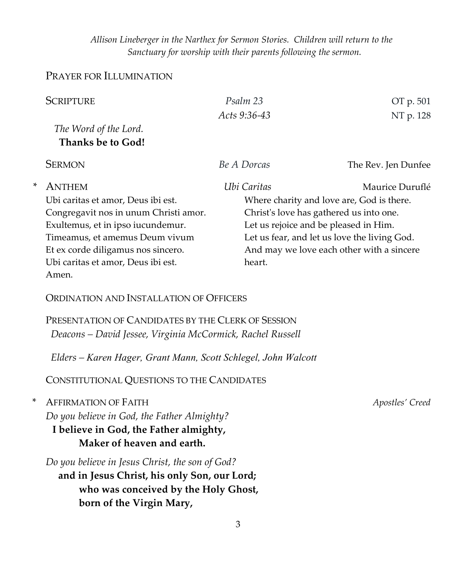*Allison Lineberger in the Narthex for Sermon Stories. Children will return to the Sanctuary for worship with their parents following the sermon.*

## PRAYER FOR ILLUMINATION

| <b>SCRIPTURE</b><br>Psalm 23                                                                                                                                      | OT p. 501                                                                        |  |  |  |
|-------------------------------------------------------------------------------------------------------------------------------------------------------------------|----------------------------------------------------------------------------------|--|--|--|
| Acts 9:36-43                                                                                                                                                      | NT p. 128                                                                        |  |  |  |
| The Word of the Lord.                                                                                                                                             |                                                                                  |  |  |  |
| Thanks be to God!                                                                                                                                                 |                                                                                  |  |  |  |
| <b>SERMON</b><br>Be A Dorcas                                                                                                                                      | The Rev. Jen Dunfee                                                              |  |  |  |
| *<br><b>ANTHEM</b><br>Ubi Caritas                                                                                                                                 | Maurice Duruflé                                                                  |  |  |  |
| Ubi caritas et amor, Deus ibi est.<br>Where charity and love are, God is there.                                                                                   |                                                                                  |  |  |  |
| Congregavit nos in unum Christi amor.                                                                                                                             | Christ's love has gathered us into one.<br>Let us rejoice and be pleased in Him. |  |  |  |
| Exultemus, et in ipso iucundemur.                                                                                                                                 |                                                                                  |  |  |  |
| Timeamus, et amemus Deum vivum<br>Let us fear, and let us love the living God.<br>Et ex corde diligamus nos sincero.<br>And may we love each other with a sincere |                                                                                  |  |  |  |
| Ubi caritas et amor, Deus ibi est.<br>heart.                                                                                                                      |                                                                                  |  |  |  |
| Amen.                                                                                                                                                             |                                                                                  |  |  |  |
| ORDINATION AND INSTALLATION OF OFFICERS                                                                                                                           |                                                                                  |  |  |  |
| PRESENTATION OF CANDIDATES BY THE CLERK OF SESSION                                                                                                                |                                                                                  |  |  |  |
| Deacons - David Jessee, Virginia McCormick, Rachel Russell                                                                                                        |                                                                                  |  |  |  |
| Elders – Karen Hager, Grant Mann, Scott Schlegel, John Walcott                                                                                                    |                                                                                  |  |  |  |
| CONSTITUTIONAL QUESTIONS TO THE CANDIDATES                                                                                                                        |                                                                                  |  |  |  |
| *<br><b>AFFIRMATION OF FAITH</b>                                                                                                                                  | Apostles' Creed                                                                  |  |  |  |
| Do you believe in God, the Father Almighty?                                                                                                                       |                                                                                  |  |  |  |
| I believe in God, the Father almighty,                                                                                                                            |                                                                                  |  |  |  |
| Maker of heaven and earth.                                                                                                                                        |                                                                                  |  |  |  |
| Do you believe in Jesus Christ, the son of God?                                                                                                                   |                                                                                  |  |  |  |

**and in Jesus Christ, his only Son, our Lord; who was conceived by the Holy Ghost, born of the Virgin Mary,**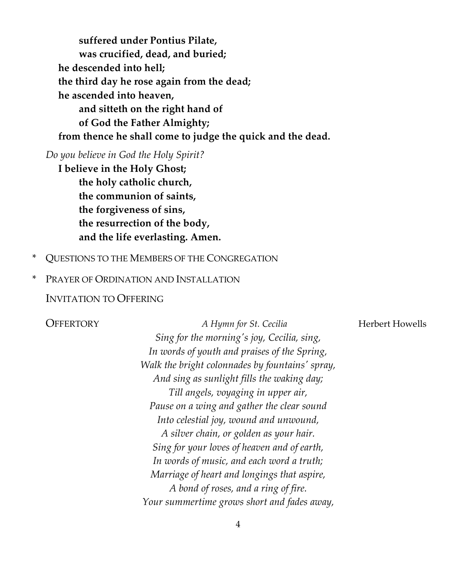**suffered under Pontius Pilate, was crucified, dead, and buried; he descended into hell; the third day he rose again from the dead; he ascended into heaven, and sitteth on the right hand of of God the Father Almighty; from thence he shall come to judge the quick and the dead.**

*Do you believe in God the Holy Spirit?*

**I believe in the Holy Ghost; the holy catholic church, the communion of saints, the forgiveness of sins, the resurrection of the body, and the life everlasting. Amen.**

- \* QUESTIONS TO THE MEMBERS OF THE CONGREGATION
- \* PRAYER OF ORDINATION AND INSTALLATION

### INVITATION TO OFFERING

**OFFERTORY** *A Hymn for St. Cecilia* **Herbert Howells** *Sing for the morning's joy, Cecilia, sing, In words of youth and praises of the Spring, Walk the bright colonnades by fountains' spray, And sing as sunlight fills the waking day; Till angels, voyaging in upper air, Pause on a wing and gather the clear sound Into celestial joy, wound and unwound, A silver chain, or golden as your hair. Sing for your loves of heaven and of earth, In words of music, and each word a truth; Marriage of heart and longings that aspire, A bond of roses, and a ring of fire. Your summertime grows short and fades away,*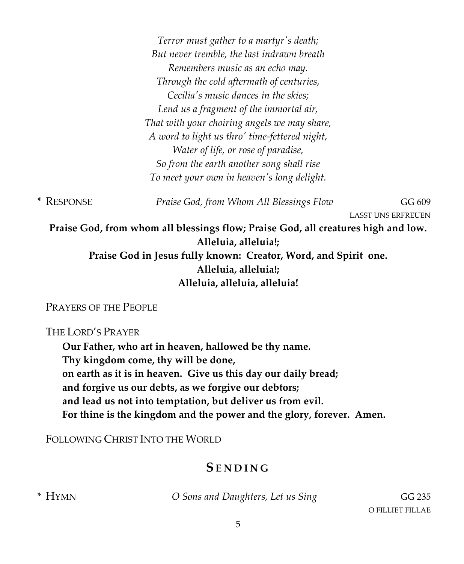*Terror must gather to a martyr's death; But never tremble, the last indrawn breath Remembers music as an echo may. Through the cold aftermath of centuries, Cecilia's music dances in the skies; Lend us a fragment of the immortal air, That with your choiring angels we may share, A word to light us thro' time-fettered night, Water of life, or rose of paradise, So from the earth another song shall rise To meet your own in heaven's long delight.*

\* RESPONSE *Praise God, from Whom All Blessings Flow* GG 609

LASST UNS ERFREUEN

**Praise God, from whom all blessings flow; Praise God, all creatures high and low. Alleluia, alleluia!;** 

**Praise God in Jesus fully known: Creator, Word, and Spirit one. Alleluia, alleluia!; Alleluia, alleluia, alleluia!**

PRAYERS OF THE PEOPLE

THE LORD'S PRAYER

**Our Father, who art in heaven, hallowed be thy name. Thy kingdom come, thy will be done, on earth as it is in heaven. Give us this day our daily bread; and forgive us our debts, as we forgive our debtors; and lead us not into temptation, but deliver us from evil. For thine is the kingdom and the power and the glory, forever. Amen.**

FOLLOWING CHRIST INTO THE WORLD

# **SENDI N G**

\* HYMN *O Sons and Daughters, Let us Sing* GG 235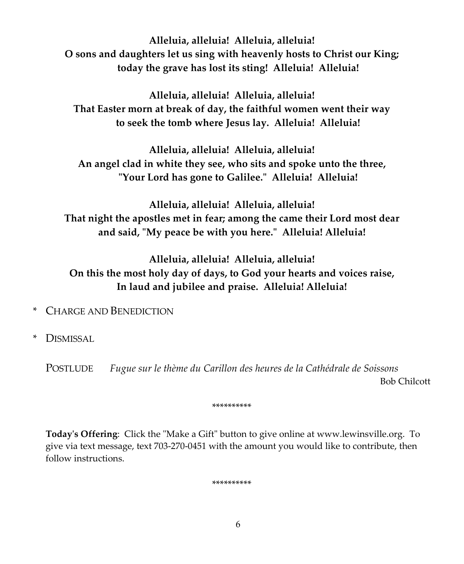**Alleluia, alleluia! Alleluia, alleluia! O sons and daughters let us sing with heavenly hosts to Christ our King; today the grave has lost its sting! Alleluia! Alleluia!**

**Alleluia, alleluia! Alleluia, alleluia! That Easter morn at break of day, the faithful women went their way to seek the tomb where Jesus lay. Alleluia! Alleluia!**

**Alleluia, alleluia! Alleluia, alleluia! An angel clad in white they see, who sits and spoke unto the three, "Your Lord has gone to Galilee." Alleluia! Alleluia!**

**Alleluia, alleluia! Alleluia, alleluia! That night the apostles met in fear; among the came their Lord most dear and said, "My peace be with you here." Alleluia! Alleluia!**

**Alleluia, alleluia! Alleluia, alleluia! On this the most holy day of days, to God your hearts and voices raise, In laud and jubilee and praise. Alleluia! Alleluia!**

- \* CHARGE AND BENEDICTION
- \* DISMISSAL

POSTLUDE *Fugue sur le thème du Carillon des heures de la Cathédrale de Soissons* Bob Chilcott

\*\*\*\*\*\*\*\*\*\*

**Today's Offering**: Click the "Make a Gift" button to give online at www.lewinsville.org. To give via text message, text 703-270-0451 with the amount you would like to contribute, then follow instructions.

\*\*\*\*\*\*\*\*\*\*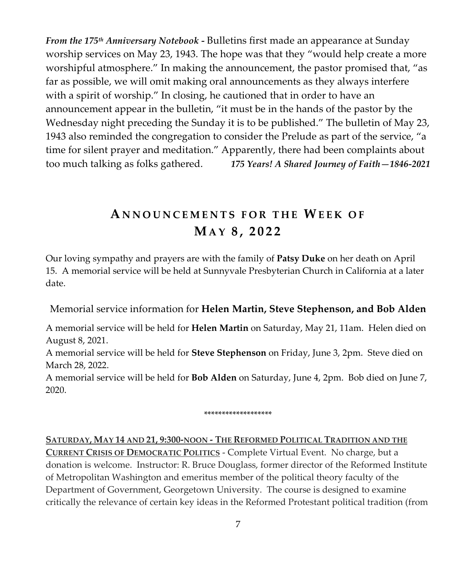*From the 175th Anniversary Notebook -* Bulletins first made an appearance at Sunday worship services on May 23, 1943. The hope was that they "would help create a more worshipful atmosphere." In making the announcement, the pastor promised that, "as far as possible, we will omit making oral announcements as they always interfere with a spirit of worship." In closing, he cautioned that in order to have an announcement appear in the bulletin, "it must be in the hands of the pastor by the Wednesday night preceding the Sunday it is to be published." The bulletin of May 23, 1943 also reminded the congregation to consider the Prelude as part of the service, "a time for silent prayer and meditation." Apparently, there had been complaints about too much talking as folks gathered. *175 Years! A Shared Journey of Faith—1846-2021*

# **A N NOUNC E M ENTS FO R THE WEEK O F MAY 8 , 202 2**

Our loving sympathy and prayers are with the family of **Patsy Duke** on her death on April 15. A memorial service will be held at Sunnyvale Presbyterian Church in California at a later date.

Memorial service information for **Helen Martin, Steve Stephenson, and Bob Alden**

A memorial service will be held for **Helen Martin** on Saturday, May 21, 11am. Helen died on August 8, 2021.

A memorial service will be held for **Steve Stephenson** on Friday, June 3, 2pm. Steve died on March 28, 2022.

A memorial service will be held for **Bob Alden** on Saturday, June 4, 2pm. Bob died on June 7, 2020.

\*\*\*\*\*\*\*\*\*\*\*\*\*\*\*\*\*\*\*

**SATURDAY, MAY 14 AND 21, 9:300-NOON - THE REFORMED POLITICAL TRADITION AND THE CURRENT CRISIS OF DEMOCRATIC POLITICS** - Complete Virtual Event. No charge, but a donation is welcome. Instructor: R. Bruce Douglass, former director of the Reformed Institute of Metropolitan Washington and emeritus member of the political theory faculty of the Department of Government, Georgetown University. The course is designed to examine critically the relevance of certain key ideas in the Reformed Protestant political tradition (from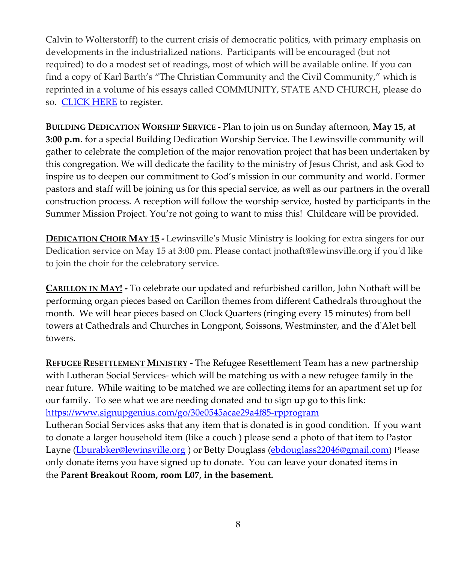Calvin to Wolterstorff) to the current crisis of democratic politics, with primary emphasis on developments in the industrialized nations. Participants will be encouraged (but not required) to do a modest set of readings, most of which will be available online. If you can find a copy of Karl Barth's "The Christian Community and the Civil Community," which is reprinted in a volume of his essays called COMMUNITY, STATE AND CHURCH, please do so. [CLICK HERE](https://www.lewinsville.org/events/reformed-thought-and-the-crisis-of-democracy-virtual/) to register.

**BUILDING DEDICATION WORSHIP SERVICE -** Plan to join us on Sunday afternoon, **May 15, at 3:00 p.m**. for a special Building Dedication Worship Service. The Lewinsville community will gather to celebrate the completion of the major renovation project that has been undertaken by this congregation. We will dedicate the facility to the ministry of Jesus Christ, and ask God to inspire us to deepen our commitment to God's mission in our community and world. Former pastors and staff will be joining us for this special service, as well as our partners in the overall construction process. A reception will follow the worship service, hosted by participants in the Summer Mission Project. You're not going to want to miss this! Childcare will be provided.

**DEDICATION CHOIR MAY 15 -** Lewinsville's Music Ministry is looking for extra singers for our Dedication service on May 15 at 3:00 pm. Please contact jnothaft@lewinsville.org if you'd like to join the choir for the celebratory service.

**CARILLON IN MAY! -** To celebrate our updated and refurbished carillon, John Nothaft will be performing organ pieces based on Carillon themes from different Cathedrals throughout the month. We will hear pieces based on Clock Quarters (ringing every 15 minutes) from bell towers at Cathedrals and Churches in Longpont, Soissons, Westminster, and the d'Alet bell towers.

**REFUGEE RESETTLEMENT MINISTRY -** The Refugee Resettlement Team has a new partnership with Lutheran Social Services- which will be matching us with a new refugee family in the near future. While waiting to be matched we are collecting items for an apartment set up for our family. To see what we are needing donated and to sign up go to this link: <https://www.signupgenius.com/go/30e0545acae29a4f85-rpprogram>

Lutheran Social Services asks that any item that is donated is in good condition. If you want to donate a larger household item (like a couch ) please send a photo of that item to Pastor Layne [\(Lburabker@lewinsville.org](mailto:Lburabker@lewinsville.org)) or Betty Douglass [\(ebdouglass22046@gmail.com\)](mailto:ebdouglass22046@gmail.com) Please only donate items you have signed up to donate. You can leave your donated items in the **Parent Breakout Room, room L07, in the basement.**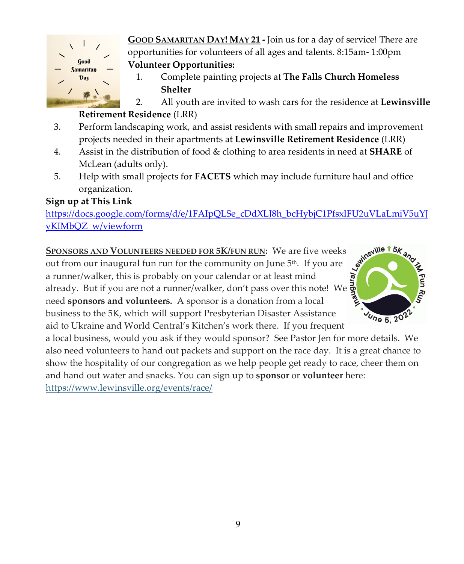

**GOOD SAMARITAN DAY! MAY 21 -** Join us for a day of service! There are opportunities for volunteers of all ages and talents. 8:15am- 1:00pm **Volunteer Opportunities:**

1. Complete painting projects at **The Falls Church Homeless Shelter**

2. All youth are invited to wash cars for the residence at **Lewinsville Retirement Residence** (LRR)

- 
- 3. Perform landscaping work, and assist residents with small repairs and improvement projects needed in their apartments at **Lewinsville Retirement Residence** (LRR)
- 4. Assist in the distribution of food & clothing to area residents in need at **SHARE** of McLean (adults only).
- 5. Help with small projects for **FACETS** which may include furniture haul and office organization.

## **Sign up at This Link**

[yKIMbQZ\\_w/viewform](https://docs.google.com/forms/d/e/1FAIpQLSe_cDdXLJ8h_bcHybjC1PfsxlFU2uVLaLmiV5uYJyKIMbQZ_w/viewform)

[https://docs.google.com/forms/d/e/1FAIpQLSe\\_cDdXLJ8h\\_bcHybjC1PfsxlFU2uVLaLmiV5uYJ](https://docs.google.com/forms/d/e/1FAIpQLSe_cDdXLJ8h_bcHybjC1PfsxlFU2uVLaLmiV5uYJyKIMbQZ_w/viewform)<br>yKIMbQZ\_w/viewform<br>SPONSORS AND VOLUNTEERS NEEDED FOR 5K/FUN RUN: We are five weeks<br>out from our inaugural fun run for the community on June **SPONSORS AND VOLUNTEERS NEEDED FOR 5K/FUN RUN:** We are five weeks out from our inaugural fun run for the community on June  $5<sup>th</sup>$ . If you are a runner/walker, this is probably on your calendar or at least mind already. But if you are not a runner/walker, don't pass over this note! We need **sponsors and volunteers.** A sponsor is a donation from a local business to the 5K, which will support Presbyterian Disaster Assistance aid to Ukraine and World Central's Kitchen's work there. If you frequent



a local business, would you ask if they would sponsor? See Pastor Jen for more details. We also need volunteers to hand out packets and support on the race day. It is a great chance to show the hospitality of our congregation as we help people get ready to race, cheer them on and hand out water and snacks. You can sign up to **sponsor** or **volunteer** here:

[https://www.lewinsville.org/events/race/](https://lewinsville.us7.list-manage.com/track/click?u=9e2ffeec87bfe4b244a8688a1&id=3b74545385&e=49b1bc8c06)